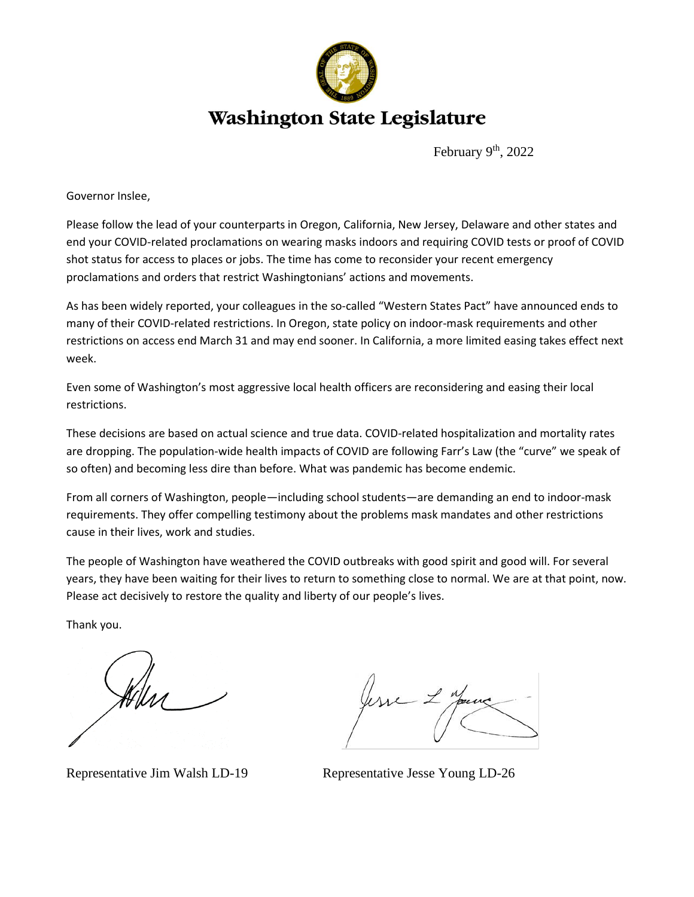

## **Washington State Legislature**

February 9<sup>th</sup>, 2022

Governor Inslee,

Please follow the lead of your counterparts in Oregon, California, New Jersey, Delaware and other states and end your COVID-related proclamations on wearing masks indoors and requiring COVID tests or proof of COVID shot status for access to places or jobs. The time has come to reconsider your recent emergency proclamations and orders that restrict Washingtonians' actions and movements.

As has been widely reported, your colleagues in the so-called "Western States Pact" have announced ends to many of their COVID-related restrictions. In Oregon, state policy on indoor-mask requirements and other restrictions on access end March 31 and may end sooner. In California, a more limited easing takes effect next week.

Even some of Washington's most aggressive local health officers are reconsidering and easing their local restrictions.

These decisions are based on actual science and true data. COVID-related hospitalization and mortality rates are dropping. The population-wide health impacts of COVID are following Farr's Law (the "curve" we speak of so often) and becoming less dire than before. What was pandemic has become endemic.

From all corners of Washington, people—including school students—are demanding an end to indoor-mask requirements. They offer compelling testimony about the problems mask mandates and other restrictions cause in their lives, work and studies.

The people of Washington have weathered the COVID outbreaks with good spirit and good will. For several years, they have been waiting for their lives to return to something close to normal. We are at that point, now. Please act decisively to restore the quality and liberty of our people's lives.

Thank you.

Representative Jim Walsh LD-19 Representative Jesse Young LD-26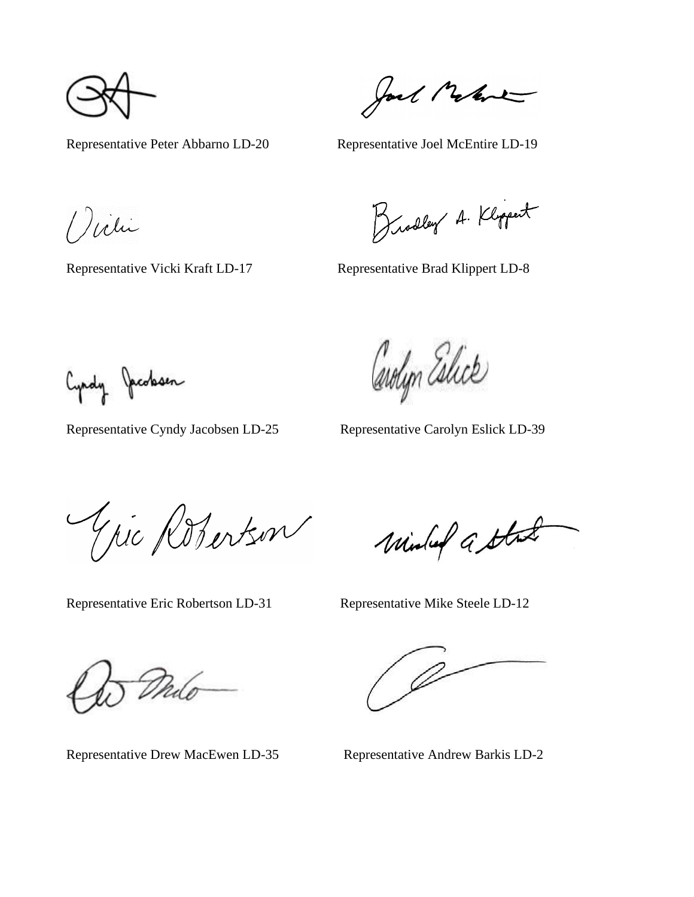Representative Peter Abbarno LD-20 Representative Joel McEntire LD-19

Jack Melve

() vili

Brodley A. Klippert

Representative Vicki Kraft LD-17 Representative Brad Klippert LD-8

Cyndy Jacobsen

Representative Cyndy Jacobsen LD-25 Representative Carolyn Eslick LD-39

Carolyn Eslick

Gic Robertson

Minley a State

Representative Eric Robertson LD-31 Representative Mike Steele LD-12

Malo

Representative Drew MacEwen LD-35 Representative Andrew Barkis LD-2

D